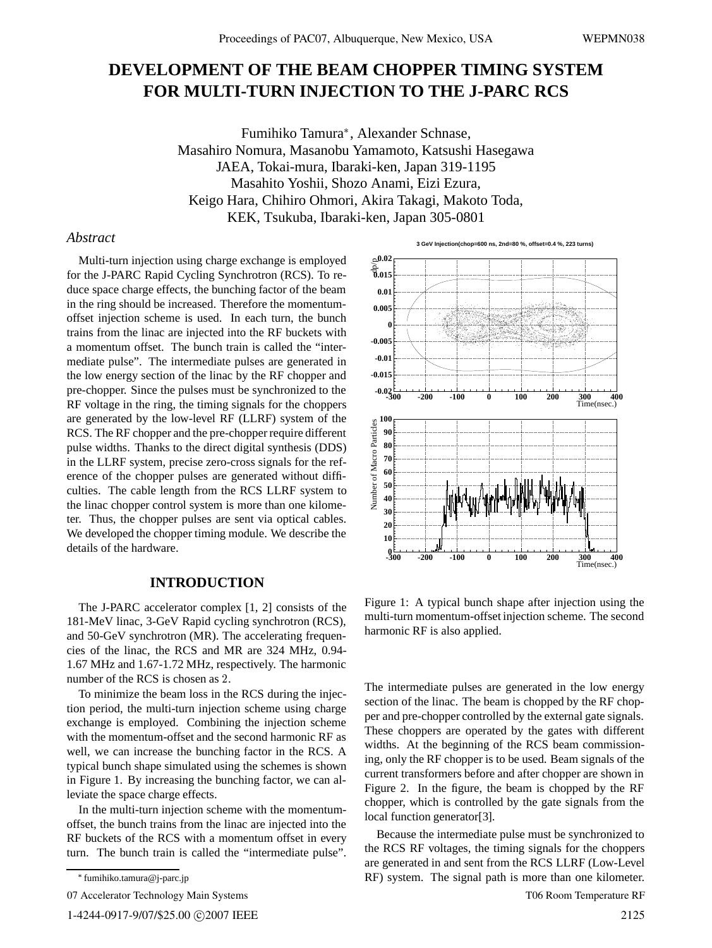# **DEVELOPMENT OF THE BEAM CHOPPER TIMING SYSTEM FOR MULTI-TURN INJECTION TO THE J-PARC RCS**

Fumihiko Tamura , Alexander Schnase, Masahiro Nomura, Masanobu Yamamoto, Katsushi Hasegawa JAEA, Tokai-mura, Ibaraki-ken, Japan 319-1195 Masahito Yoshii, Shozo Anami, Eizi Ezura, Keigo Hara, Chihiro Ohmori, Akira Takagi, Makoto Toda, KEK, Tsukuba, Ibaraki-ken, Japan 305-0801

## *Abstract*

Multi-turn injection using charge exchange is employed for the J-PARC Rapid Cycling Synchrotron (RCS). To reduce space charge effects, the bunching factor of the beam in the ring should be increased. Therefore the momentumoffset injection scheme is used. In each turn, the bunch trains from the linac are injected into the RF buckets with a momentum offset. The bunch train is called the "intermediate pulse". The intermediate pulses are generated in the low energy section of the linac by the RF chopper and pre-chopper. Since the pulses must be synchronized to the RF voltage in the ring, the timing signals for the choppers are generated by the low-level RF (LLRF) system of the RCS. The RF chopper and the pre-chopper require different pulse widths. Thanks to the direct digital synthesis (DDS) in the LLRF system, precise zero-cross signals for the reference of the chopper pulses are generated without difficulties. The cable length from the RCS LLRF system to the linac chopper control system is more than one kilometer. Thus, the chopper pulses are sent via optical cables. We developed the chopper timing module. We describe the details of the hardware.

#### **INTRODUCTION**

The J-PARC accelerator complex [1, 2] consists of the 181-MeV linac, 3-GeV Rapid cycling synchrotron (RCS), and 50-GeV synchrotron (MR). The accelerating frequencies of the linac, the RCS and MR are 324 MHz, 0.94- 1.67 MHz and 1.67-1.72 MHz, respectively. The harmonic number of the RCS is chosen as 2.

To minimize the beam loss in the RCS during the injection period, the multi-turn injection scheme using charge exchange is employed. Combining the injection scheme with the momentum-offset and the second harmonic RF as well, we can increase the bunching factor in the RCS. A typical bunch shape simulated using the schemes is shown in Figure 1. By increasing the bunching factor, we can alleviate the space charge effects.

In the multi-turn injection scheme with the momentumoffset, the bunch trains from the linac are injected into the RF buckets of the RCS with a momentum offset in every turn. The bunch train is called the "intermediate pulse".



Figure 1: A typical bunch shape after injection using the multi-turn momentum-offset injection scheme. The second harmonic RF is also applied.

The intermediate pulses are generated in the low energy section of the linac. The beam is chopped by the RF chopper and pre-chopper controlled by the external gate signals. These choppers are operated by the gates with different widths. At the beginning of the RCS beam commissioning, only the RF chopper is to be used. Beam signals of the current transformers before and after chopper are shown in Figure 2. In the figure, the beam is chopped by the RF chopper, which is controlled by the gate signals from the local function generator[3].

Because the intermediate pulse must be synchronized to the RCS RF voltages, the timing signals for the choppers are generated in and sent from the RCS LLRF (Low-Level RF) system. The signal path is more than one kilometer.

T06 Room Temperature RF

fumihiko.tamura@j-parc.jp

<sup>07</sup> Accelerator Technology Main Systems

<sup>1-4244-0917-9/07/\$25.00</sup> C 2007 IEEE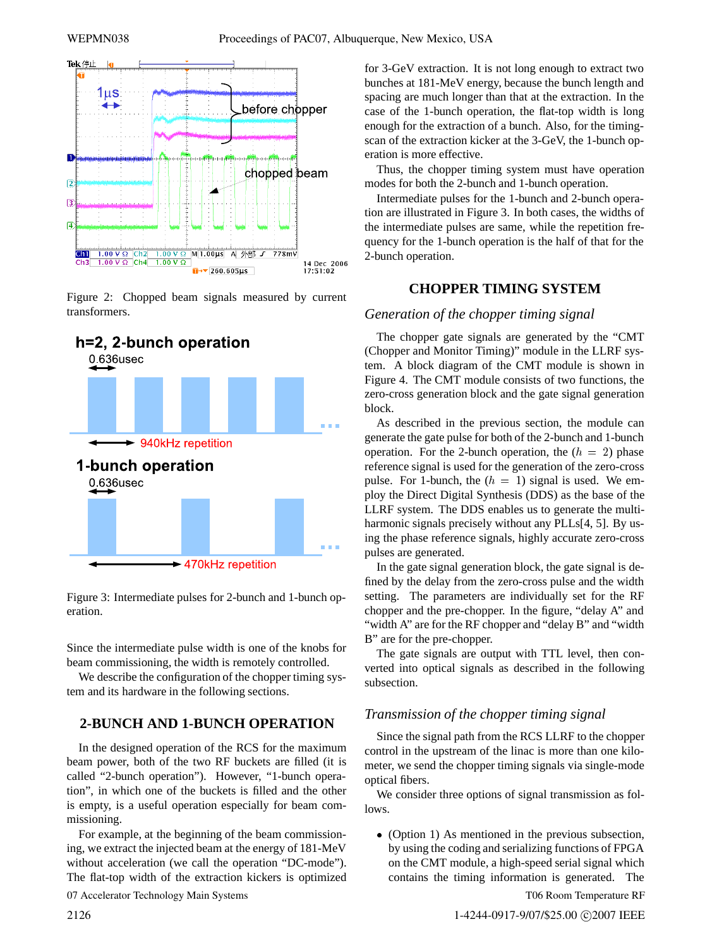

Figure 2: Chopped beam signals measured by current transformers.



Figure 3: Intermediate pulses for 2-bunch and 1-bunch operation.

Since the intermediate pulse width is one of the knobs for beam commissioning, the width is remotely controlled.

We describe the configuration of the chopper timing system and its hardware in the following sections.

## **2-BUNCH AND 1-BUNCH OPERATION**

In the designed operation of the RCS for the maximum beam power, both of the two RF buckets are filled (it is called "2-bunch operation"). However, "1-bunch operation", in which one of the buckets is filled and the other is empty, is a useful operation especially for beam commissioning.

For example, at the beginning of the beam commissioning, we extract the injected beam at the energy of 181-MeV without acceleration (we call the operation "DC-mode"). The flat-top width of the extraction kickers is optimized

07 Accelerator Technology Main Systems

for 3-GeV extraction. It is not long enough to extract two bunches at 181-MeV energy, because the bunch length and spacing are much longer than that at the extraction. In the case of the 1-bunch operation, the flat-top width is long enough for the extraction of a bunch. Also, for the timingscan of the extraction kicker at the 3-GeV, the 1-bunch operation is more effective.

Thus, the chopper timing system must have operation modes for both the 2-bunch and 1-bunch operation.

Intermediate pulses for the 1-bunch and 2-bunch operation are illustrated in Figure 3. In both cases, the widths of the intermediate pulses are same, while the repetition frequency for the 1-bunch operation is the half of that for the 2-bunch operation.

#### **CHOPPER TIMING SYSTEM**

#### *Generation of the chopper timing signal*

The chopper gate signals are generated by the "CMT (Chopper and Monitor Timing)" module in the LLRF system. A block diagram of the CMT module is shown in Figure 4. The CMT module consists of two functions, the zero-cross generation block and the gate signal generation block.

As described in the previous section, the module can generate the gate pulse for both of the 2-bunch and 1-bunch operation. For the 2-bunch operation, the  $(h = 2)$  phase reference signal is used for the generation of the zero-cross pulse. For 1-bunch, the  $(h = 1)$  signal is used. We employ the Direct Digital Synthesis (DDS) as the base of the LLRF system. The DDS enables us to generate the multiharmonic signals precisely without any PLLs<sup>[4, 5]</sup>. By using the phase reference signals, highly accurate zero-cross pulses are generated.

In the gate signal generation block, the gate signal is defined by the delay from the zero-cross pulse and the width setting. The parameters are individually set for the RF chopper and the pre-chopper. In the figure, "delay A" and "width A" are for the RF chopper and "delay B" and "width B" are for the pre-chopper.

The gate signals are output with TTL level, then converted into optical signals as described in the following subsection.

## *Transmission of the chopper timing signal*

Since the signal path from the RCS LLRF to the chopper control in the upstream of the linac is more than one kilometer, we send the chopper timing signals via single-mode optical fibers.

We consider three options of signal transmission as follows.

 (Option 1) As mentioned in the previous subsection, by using the coding and serializing functions of FPGA on the CMT module, a high-speed serial signal which contains the timing information is generated. The

T06 Room Temperature RF

1-4244-0917-9/07/\$25.00 C2007 IEEE